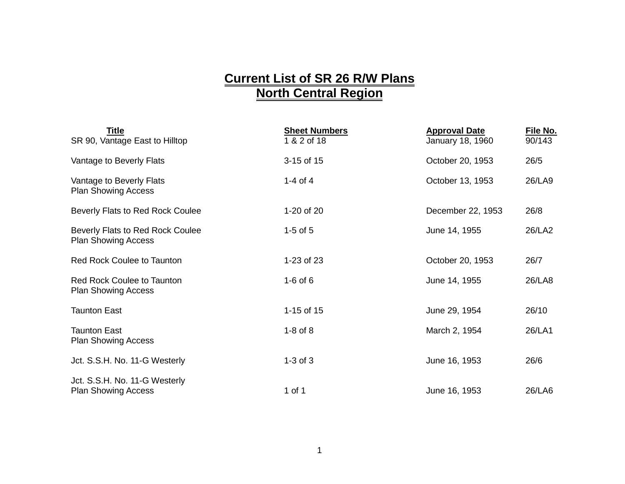## **Current List of SR 26 R/W Plans North Central Region**

| Title<br>SR 90, Vantage East to Hilltop                         | <b>Sheet Numbers</b><br>1 & 2 of 18 | <b>Approval Date</b><br>January 18, 1960 | File No.<br>90/143 |
|-----------------------------------------------------------------|-------------------------------------|------------------------------------------|--------------------|
| Vantage to Beverly Flats                                        | 3-15 of 15                          | October 20, 1953                         | 26/5               |
| Vantage to Beverly Flats<br><b>Plan Showing Access</b>          | 1-4 of 4                            | October 13, 1953                         | 26/LA9             |
| Beverly Flats to Red Rock Coulee                                | 1-20 of 20                          | December 22, 1953                        | 26/8               |
| Beverly Flats to Red Rock Coulee<br><b>Plan Showing Access</b>  | $1-5$ of $5$                        | June 14, 1955                            | 26/LA2             |
| <b>Red Rock Coulee to Taunton</b>                               | 1-23 of 23                          | October 20, 1953                         | 26/7               |
| <b>Red Rock Coulee to Taunton</b><br><b>Plan Showing Access</b> | $1-6$ of $6$                        | June 14, 1955                            | 26/LA8             |
| <b>Taunton East</b>                                             | 1-15 of 15                          | June 29, 1954                            | 26/10              |
| <b>Taunton East</b><br><b>Plan Showing Access</b>               | $1-8$ of $8$                        | March 2, 1954                            | 26/LA1             |
| Jct. S.S.H. No. 11-G Westerly                                   | $1-3$ of $3$                        | June 16, 1953                            | 26/6               |
| Jct. S.S.H. No. 11-G Westerly<br><b>Plan Showing Access</b>     | 1 of 1                              | June 16, 1953                            | 26/LA6             |